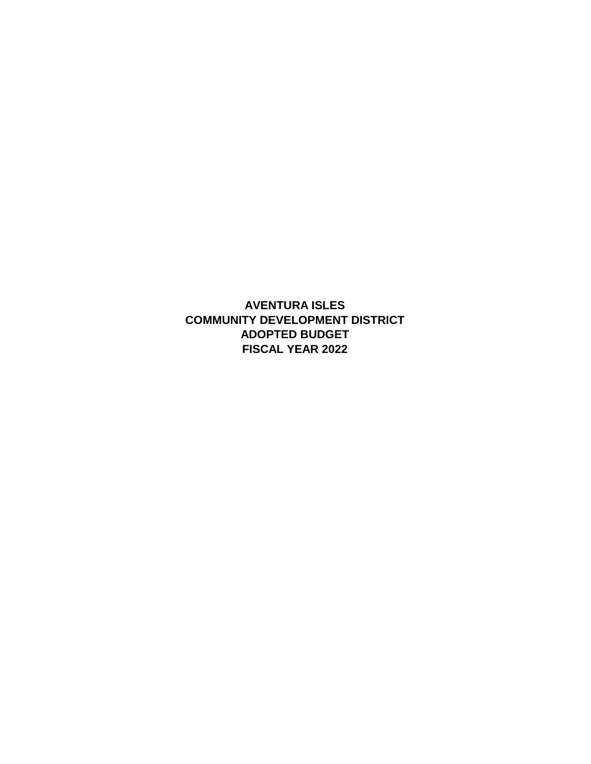**AVENTURA ISLES FISCAL YEAR 2022 ADOPTED BUDGET COMMUNITY DEVELOPMENT DISTRICT**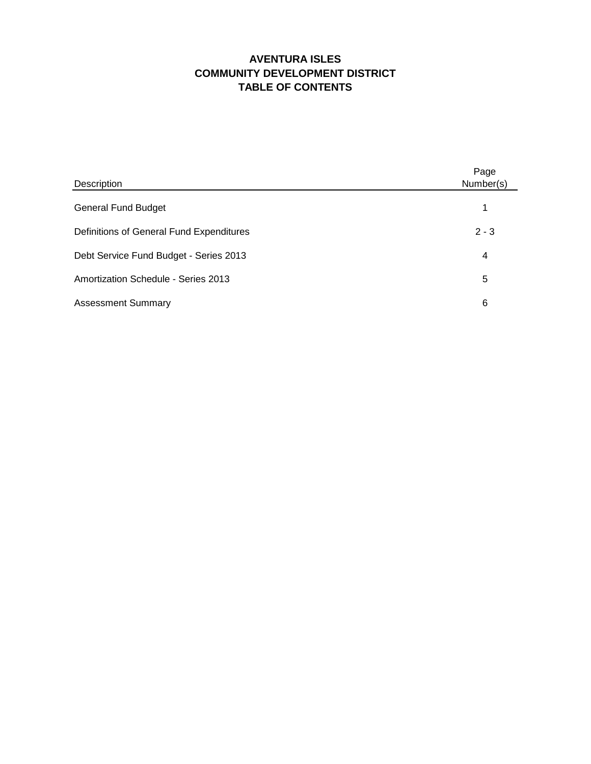### **AVENTURA ISLES COMMUNITY DEVELOPMENT DISTRICT TABLE OF CONTENTS**

| Description                              | Page<br>Number(s) |
|------------------------------------------|-------------------|
| <b>General Fund Budget</b>               |                   |
| Definitions of General Fund Expenditures | $2 - 3$           |
| Debt Service Fund Budget - Series 2013   | 4                 |
| Amortization Schedule - Series 2013      | 5                 |
| <b>Assessment Summary</b>                | 6                 |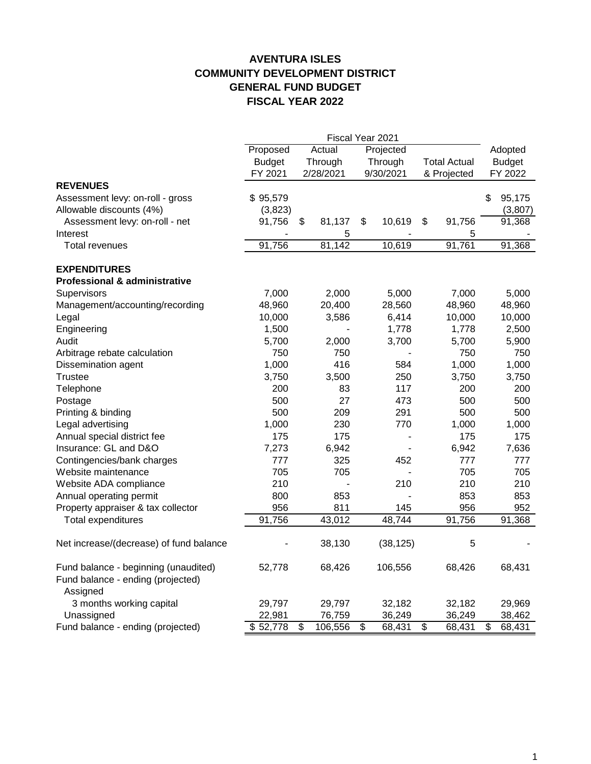### **AVENTURA ISLES COMMUNITY DEVELOPMENT DISTRICT GENERAL FUND BUDGET FISCAL YEAR 2022**

|                                                 | Fiscal Year 2021   |                          |           |                 |                          |                 |                     |    |                  |  |
|-------------------------------------------------|--------------------|--------------------------|-----------|-----------------|--------------------------|-----------------|---------------------|----|------------------|--|
|                                                 | Proposed           | Actual                   |           | Projected       |                          |                 |                     |    | Adopted          |  |
|                                                 | <b>Budget</b>      |                          | Through   |                 | Through                  |                 | <b>Total Actual</b> |    | <b>Budget</b>    |  |
|                                                 | FY 2021            |                          | 2/28/2021 | 9/30/2021       |                          | & Projected     |                     |    | FY 2022          |  |
| <b>REVENUES</b>                                 |                    |                          |           |                 |                          |                 |                     |    |                  |  |
| Assessment levy: on-roll - gross                | \$95,579           |                          |           |                 |                          |                 |                     | \$ | 95,175           |  |
| Allowable discounts (4%)                        | (3,823)            |                          |           |                 |                          |                 |                     |    | (3,807)          |  |
| Assessment levy: on-roll - net                  | 91,756             | \$                       | 81,137    | \$              | 10,619                   | \$              | 91,756              |    | 91,368           |  |
| Interest                                        |                    |                          | 5         |                 |                          |                 | 5                   |    |                  |  |
| <b>Total revenues</b>                           | 91,756             |                          | 81,142    |                 | 10,619                   |                 | 91,761              |    | 91,368           |  |
| <b>EXPENDITURES</b>                             |                    |                          |           |                 |                          |                 |                     |    |                  |  |
| <b>Professional &amp; administrative</b>        |                    |                          |           |                 |                          |                 |                     |    |                  |  |
| Supervisors                                     | 7,000              |                          | 2,000     |                 | 5,000                    |                 | 7,000               |    | 5,000            |  |
| Management/accounting/recording                 | 48,960             |                          | 20,400    |                 | 28,560                   |                 | 48,960              |    | 48,960           |  |
| Legal                                           | 10,000             |                          | 3,586     |                 | 6,414                    |                 | 10,000              |    | 10,000           |  |
| Engineering                                     | 1,500              |                          |           |                 | 1,778                    |                 | 1,778               |    | 2,500            |  |
| Audit                                           | 5,700              |                          | 2,000     |                 | 3,700                    |                 | 5,700               |    | 5,900            |  |
| Arbitrage rebate calculation                    | 750                |                          | 750       |                 |                          |                 | 750                 |    | 750              |  |
| Dissemination agent                             | 1,000              |                          | 416       |                 | 584                      |                 | 1,000               |    | 1,000            |  |
| Trustee                                         | 3,750              |                          | 3,500     |                 | 250                      |                 | 3,750               |    | 3,750            |  |
| Telephone                                       | 200                |                          | 83        |                 | 117                      |                 | 200                 |    | 200              |  |
| Postage                                         | 500                |                          | 27        |                 | 473                      |                 | 500                 |    | 500              |  |
| Printing & binding                              | 500                |                          | 209       |                 | 291                      |                 | 500                 |    | 500              |  |
| Legal advertising                               | 1,000              |                          | 230       |                 | 770                      |                 | 1,000               |    | 1,000            |  |
| Annual special district fee                     | 175                |                          | 175       |                 | $\overline{\phantom{0}}$ |                 | 175                 |    | 175              |  |
| Insurance: GL and D&O                           | 7,273              |                          | 6,942     |                 |                          |                 | 6,942               |    | 7,636            |  |
| Contingencies/bank charges                      | 777                |                          | 325       |                 | 452                      |                 | 777                 |    | 777              |  |
| Website maintenance                             | 705                |                          | 705       |                 |                          |                 | 705                 |    | 705              |  |
| Website ADA compliance                          | 210                |                          |           |                 | 210                      |                 | 210                 |    | 210              |  |
| Annual operating permit                         | 800                |                          | 853       |                 |                          |                 | 853                 |    | 853              |  |
| Property appraiser & tax collector              | 956                |                          | 811       |                 | 145                      |                 | 956                 |    | 952              |  |
| <b>Total expenditures</b>                       | 91,756             |                          | 43,012    |                 | 48,744                   |                 | 91,756              |    | 91,368           |  |
| Net increase/(decrease) of fund balance         |                    |                          | 38,130    |                 | (38, 125)                |                 | 5                   |    |                  |  |
| Fund balance - beginning (unaudited)            | 52,778             |                          | 68,426    |                 | 106,556                  |                 | 68,426              |    | 68,431           |  |
| Fund balance - ending (projected)<br>Assigned   |                    |                          |           |                 |                          |                 |                     |    |                  |  |
|                                                 | 29,797             |                          | 29,797    |                 | 32,182                   |                 | 32,182              |    | 29,969           |  |
| 3 months working capital                        |                    |                          | 76,759    |                 |                          |                 |                     |    |                  |  |
| Unassigned<br>Fund balance - ending (projected) | 22,981<br>\$52,778 | $\overline{\mathcal{G}}$ | 106,556   | $\overline{\$}$ | 36,249<br>68,431         | $\overline{\$}$ | 36,249<br>68,431    | \$ | 38,462<br>68,431 |  |
|                                                 |                    |                          |           |                 |                          |                 |                     |    |                  |  |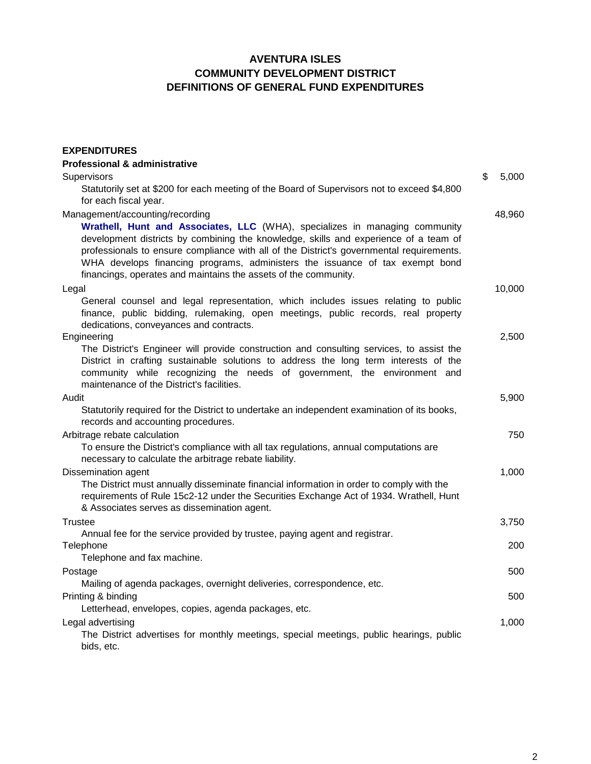#### **AVENTURA ISLES COMMUNITY DEVELOPMENT DISTRICT DEFINITIONS OF GENERAL FUND EXPENDITURES**

| <b>EXPENDITURES</b>                                                                                                                                                                                                                                                                                                                                                                                                                                   |             |
|-------------------------------------------------------------------------------------------------------------------------------------------------------------------------------------------------------------------------------------------------------------------------------------------------------------------------------------------------------------------------------------------------------------------------------------------------------|-------------|
| <b>Professional &amp; administrative</b>                                                                                                                                                                                                                                                                                                                                                                                                              |             |
| Supervisors                                                                                                                                                                                                                                                                                                                                                                                                                                           | \$<br>5,000 |
| Statutorily set at \$200 for each meeting of the Board of Supervisors not to exceed \$4,800<br>for each fiscal year.                                                                                                                                                                                                                                                                                                                                  |             |
| Management/accounting/recording<br>Wrathell, Hunt and Associates, LLC (WHA), specializes in managing community<br>development districts by combining the knowledge, skills and experience of a team of<br>professionals to ensure compliance with all of the District's governmental requirements.<br>WHA develops financing programs, administers the issuance of tax exempt bond<br>financings, operates and maintains the assets of the community. | 48,960      |
| Legal                                                                                                                                                                                                                                                                                                                                                                                                                                                 | 10,000      |
| General counsel and legal representation, which includes issues relating to public<br>finance, public bidding, rulemaking, open meetings, public records, real property<br>dedications, conveyances and contracts.                                                                                                                                                                                                                                    |             |
| Engineering                                                                                                                                                                                                                                                                                                                                                                                                                                           | 2,500       |
| The District's Engineer will provide construction and consulting services, to assist the<br>District in crafting sustainable solutions to address the long term interests of the<br>community while recognizing the needs of government, the environment and<br>maintenance of the District's facilities.                                                                                                                                             |             |
| Audit                                                                                                                                                                                                                                                                                                                                                                                                                                                 | 5,900       |
| Statutorily required for the District to undertake an independent examination of its books,<br>records and accounting procedures.                                                                                                                                                                                                                                                                                                                     |             |
| Arbitrage rebate calculation                                                                                                                                                                                                                                                                                                                                                                                                                          | 750         |
| To ensure the District's compliance with all tax regulations, annual computations are<br>necessary to calculate the arbitrage rebate liability.                                                                                                                                                                                                                                                                                                       |             |
| Dissemination agent                                                                                                                                                                                                                                                                                                                                                                                                                                   | 1,000       |
| The District must annually disseminate financial information in order to comply with the<br>requirements of Rule 15c2-12 under the Securities Exchange Act of 1934. Wrathell, Hunt<br>& Associates serves as dissemination agent.                                                                                                                                                                                                                     |             |
| <b>Trustee</b>                                                                                                                                                                                                                                                                                                                                                                                                                                        | 3,750       |
| Annual fee for the service provided by trustee, paying agent and registrar.                                                                                                                                                                                                                                                                                                                                                                           |             |
| Telephone                                                                                                                                                                                                                                                                                                                                                                                                                                             | 200         |
| Telephone and fax machine.                                                                                                                                                                                                                                                                                                                                                                                                                            |             |
| Postage                                                                                                                                                                                                                                                                                                                                                                                                                                               | 500         |
| Mailing of agenda packages, overnight deliveries, correspondence, etc.                                                                                                                                                                                                                                                                                                                                                                                |             |
| Printing & binding                                                                                                                                                                                                                                                                                                                                                                                                                                    | 500         |
| Letterhead, envelopes, copies, agenda packages, etc.                                                                                                                                                                                                                                                                                                                                                                                                  |             |
| Legal advertising<br>The District advertises for monthly meetings, special meetings, public hearings, public<br>bids, etc.                                                                                                                                                                                                                                                                                                                            | 1,000       |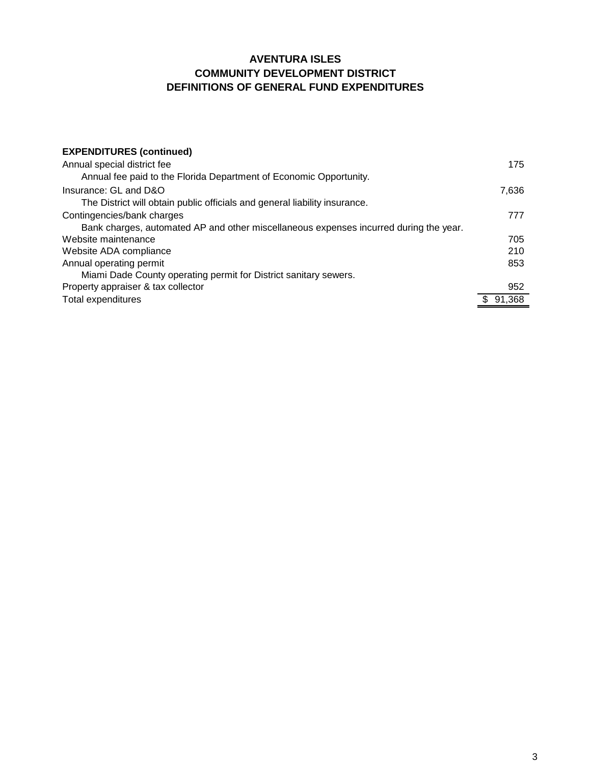#### **AVENTURA ISLES COMMUNITY DEVELOPMENT DISTRICT DEFINITIONS OF GENERAL FUND EXPENDITURES**

| <b>EXPENDITURES (continued)</b>                                                       |        |
|---------------------------------------------------------------------------------------|--------|
| Annual special district fee                                                           | 175    |
| Annual fee paid to the Florida Department of Economic Opportunity.                    |        |
| Insurance: GL and D&O                                                                 | 7,636  |
| The District will obtain public officials and general liability insurance.            |        |
| Contingencies/bank charges                                                            | 777    |
| Bank charges, automated AP and other miscellaneous expenses incurred during the year. |        |
| Website maintenance                                                                   | 705    |
| Website ADA compliance                                                                | 210    |
| Annual operating permit                                                               | 853    |
| Miami Dade County operating permit for District sanitary sewers.                      |        |
| Property appraiser & tax collector                                                    | 952    |
| Total expenditures                                                                    | 91.368 |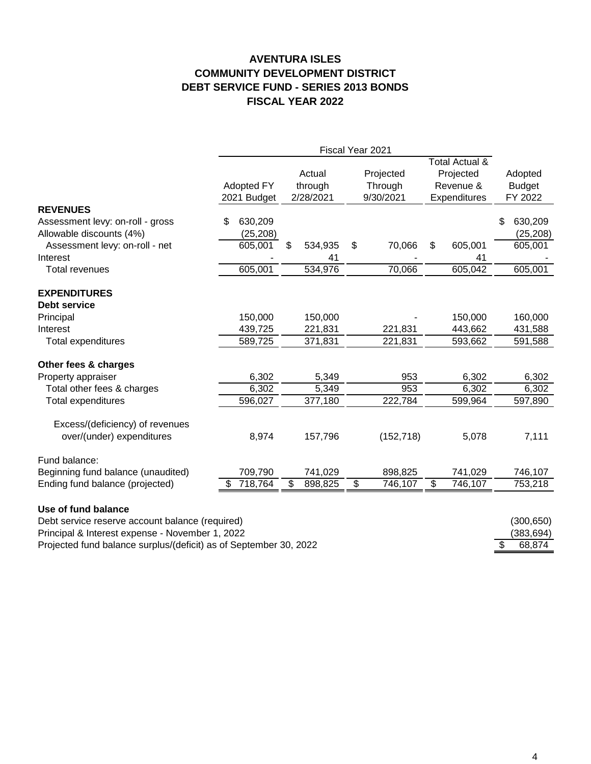#### **AVENTURA ISLES COMMUNITY DEVELOPMENT DISTRICT DEBT SERVICE FUND - SERIES 2013 BONDS FISCAL YEAR 2022**

|                                                                   | Fiscal Year 2021          |           |                                |         |                                   |            |                                                          |               |                                     |  |
|-------------------------------------------------------------------|---------------------------|-----------|--------------------------------|---------|-----------------------------------|------------|----------------------------------------------------------|---------------|-------------------------------------|--|
|                                                                   | Adopted FY<br>2021 Budget |           | Actual<br>through<br>2/28/2021 |         | Projected<br>Through<br>9/30/2021 |            | Total Actual &<br>Projected<br>Revenue &<br>Expenditures |               | Adopted<br><b>Budget</b><br>FY 2022 |  |
| <b>REVENUES</b>                                                   |                           |           |                                |         |                                   |            |                                                          |               |                                     |  |
| Assessment levy: on-roll - gross                                  | \$                        | 630,209   |                                |         |                                   |            |                                                          |               | 630,209<br>\$                       |  |
| Allowable discounts (4%)                                          |                           | (25, 208) |                                |         |                                   |            |                                                          |               | (25, 208)                           |  |
| Assessment levy: on-roll - net                                    |                           | 605,001   | \$                             | 534,935 | \$                                | 70,066     | \$                                                       | 605,001       | 605,001                             |  |
| Interest<br><b>Total revenues</b>                                 |                           | 605,001   |                                | 41      |                                   |            |                                                          | 41<br>605,042 | 605,001                             |  |
|                                                                   |                           |           |                                | 534,976 |                                   | 70,066     |                                                          |               |                                     |  |
| <b>EXPENDITURES</b>                                               |                           |           |                                |         |                                   |            |                                                          |               |                                     |  |
| <b>Debt service</b>                                               |                           |           |                                |         |                                   |            |                                                          |               |                                     |  |
| Principal                                                         |                           | 150,000   |                                | 150,000 |                                   |            |                                                          | 150,000       | 160,000                             |  |
| Interest                                                          |                           | 439,725   |                                | 221,831 |                                   | 221,831    |                                                          | 443,662       | 431,588                             |  |
| Total expenditures                                                |                           | 589,725   |                                | 371,831 |                                   | 221,831    |                                                          | 593,662       | 591,588                             |  |
| Other fees & charges                                              |                           |           |                                |         |                                   |            |                                                          |               |                                     |  |
| Property appraiser                                                |                           | 6,302     |                                | 5,349   |                                   | 953        |                                                          | 6,302         | 6,302                               |  |
| Total other fees & charges                                        |                           | 6,302     |                                | 5,349   |                                   | 953        |                                                          | 6,302         | 6,302                               |  |
| <b>Total expenditures</b>                                         |                           | 596,027   |                                | 377,180 |                                   | 222,784    |                                                          | 599,964       | 597,890                             |  |
|                                                                   |                           |           |                                |         |                                   |            |                                                          |               |                                     |  |
| Excess/(deficiency) of revenues                                   |                           |           |                                |         |                                   |            |                                                          |               |                                     |  |
| over/(under) expenditures                                         |                           | 8,974     |                                | 157,796 |                                   | (152, 718) |                                                          | 5,078         | 7,111                               |  |
| Fund balance:                                                     |                           |           |                                |         |                                   |            |                                                          |               |                                     |  |
| Beginning fund balance (unaudited)                                |                           | 709,790   |                                | 741,029 |                                   | 898,825    |                                                          | 741,029       | 746,107                             |  |
| Ending fund balance (projected)                                   | \$                        | 718,764   | $\overline{\mathcal{S}}$       | 898,825 | $\overline{\mathcal{S}}$          | 746,107    | $\overline{\mathcal{S}}$                                 | 746,107       | 753,218                             |  |
| Use of fund balance                                               |                           |           |                                |         |                                   |            |                                                          |               |                                     |  |
| Debt service reserve account balance (required)                   |                           |           |                                |         |                                   |            |                                                          |               |                                     |  |
| Principal & Interest expense - November 1, 2022                   |                           |           |                                |         |                                   |            |                                                          |               | (300, 650)<br>(383, 694)            |  |
| Projected fund balance surplus/(deficit) as of September 30, 2022 |                           |           |                                |         |                                   |            |                                                          |               | \$<br>68,874                        |  |
|                                                                   |                           |           |                                |         |                                   |            |                                                          |               |                                     |  |

4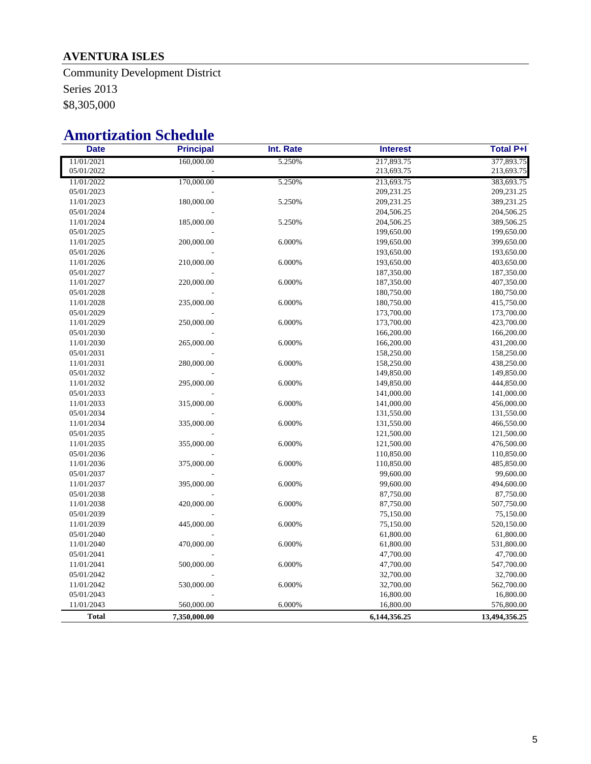## **AVENTURA ISLES**

Community Development District Series 2013 \$8,305,000

# **Amortization Schedule**

| <b>Date</b>  | <b>Principal</b> | Int. Rate | <b>Interest</b> | <b>Total P+I</b> |  |  |
|--------------|------------------|-----------|-----------------|------------------|--|--|
| 11/01/2021   | 160,000.00       | 5.250%    | 217,893.75      | 377,893.75       |  |  |
| 05/01/2022   |                  |           | 213,693.75      | 213,693.75       |  |  |
| 11/01/2022   | 170,000.00       | 5.250%    | 213,693.75      | 383,693.75       |  |  |
| 05/01/2023   |                  |           | 209,231.25      | 209,231.25       |  |  |
| 11/01/2023   | 180,000.00       | 5.250%    | 209,231.25      | 389,231.25       |  |  |
| 05/01/2024   |                  |           | 204,506.25      | 204,506.25       |  |  |
| 11/01/2024   | 185,000.00       | 5.250%    | 204,506.25      | 389,506.25       |  |  |
| 05/01/2025   |                  |           | 199,650.00      | 199,650.00       |  |  |
| 11/01/2025   | 200,000.00       | 6.000%    | 199,650.00      | 399,650.00       |  |  |
| 05/01/2026   |                  |           | 193,650.00      | 193,650.00       |  |  |
| 11/01/2026   | 210,000.00       | 6.000%    | 193,650.00      | 403,650.00       |  |  |
| 05/01/2027   |                  |           | 187,350.00      | 187,350.00       |  |  |
| 11/01/2027   | 220,000.00       | 6.000%    | 187,350.00      | 407,350.00       |  |  |
| 05/01/2028   |                  |           | 180,750.00      | 180,750.00       |  |  |
| 11/01/2028   | 235,000.00       | 6.000%    | 180,750.00      | 415,750.00       |  |  |
| 05/01/2029   |                  |           | 173,700.00      | 173,700.00       |  |  |
| 11/01/2029   | 250,000.00       | 6.000%    | 173,700.00      | 423,700.00       |  |  |
| 05/01/2030   |                  |           | 166,200.00      | 166,200.00       |  |  |
| 11/01/2030   | 265,000.00       | 6.000%    | 166,200.00      | 431,200.00       |  |  |
| 05/01/2031   |                  |           | 158,250.00      | 158,250.00       |  |  |
| 11/01/2031   | 280,000.00       | 6.000%    | 158,250.00      | 438,250.00       |  |  |
| 05/01/2032   |                  |           | 149,850.00      | 149,850.00       |  |  |
| 11/01/2032   | 295,000.00       | 6.000%    | 149,850.00      | 444,850.00       |  |  |
| 05/01/2033   |                  |           | 141,000.00      | 141,000.00       |  |  |
| 11/01/2033   | 315,000.00       | 6.000%    | 141,000.00      | 456,000.00       |  |  |
| 05/01/2034   |                  |           | 131,550.00      | 131,550.00       |  |  |
| 11/01/2034   | 335,000.00       | 6.000%    | 131,550.00      | 466,550.00       |  |  |
| 05/01/2035   |                  |           | 121,500.00      | 121,500.00       |  |  |
| 11/01/2035   | 355,000.00       | 6.000%    | 121,500.00      | 476,500.00       |  |  |
| 05/01/2036   |                  |           | 110,850.00      | 110,850.00       |  |  |
| 11/01/2036   | 375,000.00       | 6.000%    | 110,850.00      | 485,850.00       |  |  |
| 05/01/2037   |                  |           | 99,600.00       | 99,600.00        |  |  |
| 11/01/2037   | 395,000.00       | 6.000%    | 99,600.00       | 494,600.00       |  |  |
| 05/01/2038   |                  |           | 87,750.00       | 87,750.00        |  |  |
| 11/01/2038   | 420,000.00       | 6.000%    | 87,750.00       | 507,750.00       |  |  |
| 05/01/2039   |                  |           | 75,150.00       | 75,150.00        |  |  |
| 11/01/2039   | 445,000.00       | 6.000%    | 75,150.00       | 520,150.00       |  |  |
| 05/01/2040   |                  |           | 61,800.00       | 61,800.00        |  |  |
| 11/01/2040   | 470,000.00       | 6.000%    | 61,800.00       | 531,800.00       |  |  |
| 05/01/2041   |                  |           | 47,700.00       | 47,700.00        |  |  |
| 11/01/2041   | 500,000.00       | 6.000%    | 47,700.00       | 547,700.00       |  |  |
| 05/01/2042   |                  |           | 32,700.00       | 32,700.00        |  |  |
| 11/01/2042   | 530,000.00       | 6.000%    | 32,700.00       | 562,700.00       |  |  |
| 05/01/2043   |                  |           | 16,800.00       | 16,800.00        |  |  |
| 11/01/2043   | 560,000.00       | 6.000%    | 16,800.00       | 576,800.00       |  |  |
| <b>Total</b> | 7,350,000.00     |           | 6,144,356.25    | 13,494,356.25    |  |  |